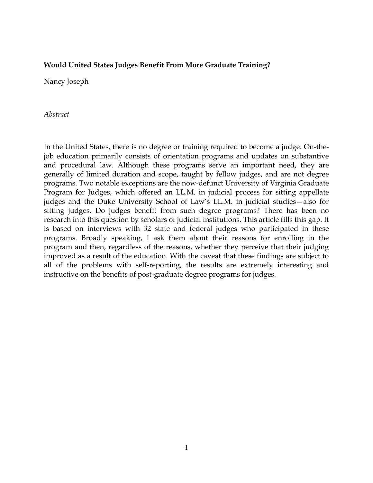## **Would United States Judges Benefit From More Graduate Training?**

Nancy Joseph

*Abstract*

In the United States, there is no degree or training required to become a judge. On-thejob education primarily consists of orientation programs and updates on substantive and procedural law. Although these programs serve an important need, they are generally of limited duration and scope, taught by fellow judges, and are not degree programs. Two notable exceptions are the now-defunct University of Virginia Graduate Program for Judges, which offered an LL.M. in judicial process for sitting appellate judges and the Duke University School of Law's LL.M. in judicial studies—also for sitting judges. Do judges benefit from such degree programs? There has been no research into this question by scholars of judicial institutions. This article fills this gap. It is based on interviews with 32 state and federal judges who participated in these programs. Broadly speaking, I ask them about their reasons for enrolling in the program and then, regardless of the reasons, whether they perceive that their judging improved as a result of the education. With the caveat that these findings are subject to all of the problems with self-reporting, the results are extremely interesting and instructive on the benefits of post-graduate degree programs for judges.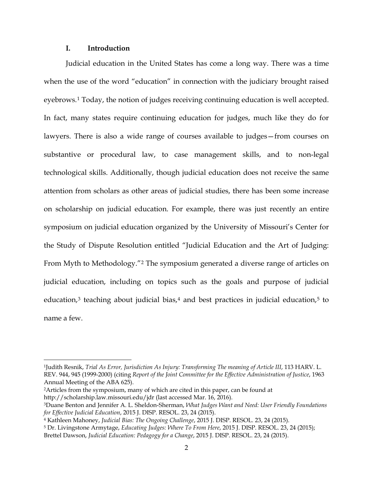### **I. Introduction**

Judicial education in the United States has come a long way. There was a time when the use of the word "education" in connection with the judiciary brought raised eyebrows.[1](#page-1-0) Today, the notion of judges receiving continuing education is well accepted. In fact, many states require continuing education for judges, much like they do for lawyers. There is also a wide range of courses available to judges—from courses on substantive or procedural law, to case management skills, and to non-legal technological skills. Additionally, though judicial education does not receive the same attention from scholars as other areas of judicial studies, there has been some increase on scholarship on judicial education. For example, there was just recently an entire symposium on judicial education organized by the University of Missouri's Center for the Study of Dispute Resolution entitled "Judicial Education and the Art of Judging: From Myth to Methodology."[2](#page-1-1) The symposium generated a diverse range of articles on judicial education, including on topics such as the goals and purpose of judicial education,<sup>[3](#page-1-2)</sup> teaching about judicial bias,<sup>[4](#page-1-3)</sup> and best practices in judicial education,<sup>[5](#page-1-4)</sup> to name a few.

<span id="page-1-0"></span><sup>&</sup>lt;sup>1</sup>Judith Resnik, *Trial As Error, Jurisdiction As Injury: Transforming The meaning of Article III, 113 HARV. L.* REV. 944, 945 (1999-2000) (citing *Report of the Joint Committee for the Effective Administration of Justice*, 1963 Annual Meeting of the ABA 625).

<span id="page-1-1"></span><sup>2</sup>Articles from the symposium, many of which are cited in this paper, can be found at http://scholarship.law.missouri.edu/jdr (last accessed Mar. 16, 2016).

<span id="page-1-2"></span><sup>3</sup>Duane Benton and Jennifer A. L. Sheldon-Sherman, *What Judges Want and Need: User Friendly Foundations for Effective Judicial Education*, 2015 J. DISP. RESOL. 23, 24 (2015).

<span id="page-1-3"></span><sup>4</sup> Kathleen Mahoney, *Judicial Bias: The Ongoing Challenge*, 2015 J. DISP. RESOL. 23, 24 (2015).

<span id="page-1-4"></span><sup>5</sup> Dr. Livingstone Armytage, *Educating Judges: Where To From Here*, 2015 J. DISP. RESOL. 23, 24 (2015); Brettel Dawson, *Judicial Education: Pedagogy for a Change*, 2015 J. DISP. RESOL. 23, 24 (2015).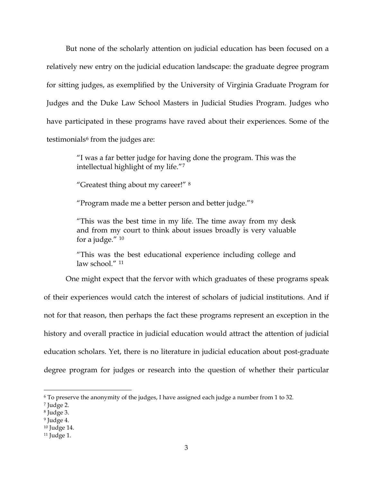But none of the scholarly attention on judicial education has been focused on a relatively new entry on the judicial education landscape: the graduate degree program for sitting judges, as exemplified by the University of Virginia Graduate Program for Judges and the Duke Law School Masters in Judicial Studies Program. Judges who have participated in these programs have raved about their experiences. Some of the testimonials $6$  from the judges are:

> "I was a far better judge for having done the program. This was the intellectual highlight of my life."[7](#page-2-1)

"Greatest thing about my career!" [8](#page-2-2)

"Program made me a better person and better judge."[9](#page-2-3)

"This was the best time in my life. The time away from my desk and from my court to think about issues broadly is very valuable for a judge."  $10$ 

"This was the best educational experience including college and law school." <sup>[11](#page-2-5)</sup>

One might expect that the fervor with which graduates of these programs speak of their experiences would catch the interest of scholars of judicial institutions. And if not for that reason, then perhaps the fact these programs represent an exception in the history and overall practice in judicial education would attract the attention of judicial education scholars. Yet, there is no literature in judicial education about post-graduate degree program for judges or research into the question of whether their particular

<span id="page-2-0"></span> <sup>6</sup> To preserve the anonymity of the judges, I have assigned each judge a number from 1 to 32.

<span id="page-2-1"></span><sup>7</sup> Judge 2.

<span id="page-2-2"></span><sup>8</sup> Judge 3.

<span id="page-2-3"></span> $9$  Judge 4.

<span id="page-2-4"></span><sup>10</sup> Judge 14.

<span id="page-2-5"></span><sup>11</sup> Judge 1.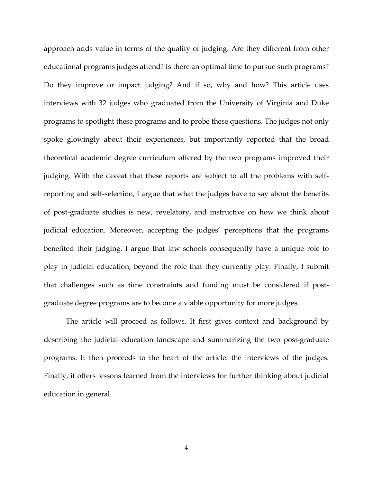approach adds value in terms of the quality of judging. Are they different from other educational programs judges attend? Is there an optimal time to pursue such programs? Do they improve or impact judging? And if so, why and how? This article uses interviews with 32 judges who graduated from the University of Virginia and Duke programs to spotlight these programs and to probe these questions. The judges not only spoke glowingly about their experiences, but importantly reported that the broad theoretical academic degree curriculum offered by the two programs improved their judging. With the caveat that these reports are subject to all the problems with selfreporting and self-selection, I argue that what the judges have to say about the benefits of post-graduate studies is new, revelatory, and instructive on how we think about judicial education. Moreover, accepting the judges' perceptions that the programs benefited their judging, I argue that law schools consequently have a unique role to play in judicial education, beyond the role that they currently play. Finally, I submit that challenges such as time constraints and funding must be considered if postgraduate degree programs are to become a viable opportunity for more judges.

The article will proceed as follows. It first gives context and background by describing the judicial education landscape and summarizing the two post-graduate programs. It then proceeds to the heart of the article: the interviews of the judges. Finally, it offers lessons learned from the interviews for further thinking about judicial education in general.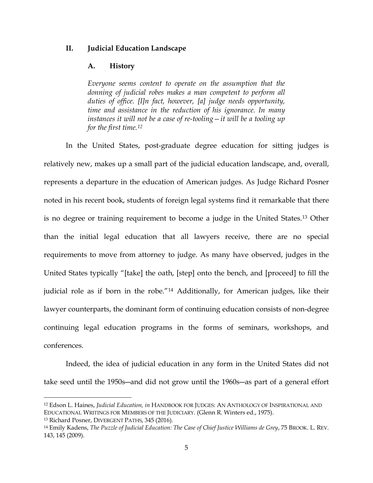### **II. Judicial Education Landscape**

#### **A. History**

*Everyone seems content to operate on the assumption that the donning of judicial robes makes a man competent to perform all duties of office. [I]n fact, however, [a] judge needs opportunity, time and assistance in the reduction of his ignorance. In many instances it will not be a case of re-tooling—it will be a tooling up for the first time.[12](#page-4-0)*

In the United States, post-graduate degree education for sitting judges is relatively new, makes up a small part of the judicial education landscape, and, overall, represents a departure in the education of American judges. As Judge Richard Posner noted in his recent book, students of foreign legal systems find it remarkable that there is no degree or training requirement to become a judge in the United States.[13](#page-4-1) Other than the initial legal education that all lawyers receive, there are no special requirements to move from attorney to judge. As many have observed, judges in the United States typically "[take] the oath, [step] onto the bench, and [proceed] to fill the judicial role as if born in the robe."[14](#page-4-2) Additionally, for American judges, like their lawyer counterparts, the dominant form of continuing education consists of non-degree continuing legal education programs in the forms of seminars, workshops, and conferences.

Indeed, the idea of judicial education in any form in the United States did not take seed until the 1950s―and did not grow until the 1960s―as part of a general effort

<span id="page-4-0"></span> <sup>12</sup> Edson L. Haines, *Judicial Education, in* HANDBOOK FOR JUDGES: AN ANTHOLOGY OF INSPIRATIONAL AND EDUCATIONAL WRITINGS FOR MEMBERS OF THE JUDICIARY. (Glenn R. Winters ed., 1975). <sup>13</sup> Richard Posner, DIVERGENT PATHS, 345 (2016).

<span id="page-4-2"></span><span id="page-4-1"></span><sup>14</sup> Emily Kadens, *The Puzzle of Judicial Education: The Case of Chief Justice Williams de Grey*, 75 BROOK. L. REV. 143, 145 (2009).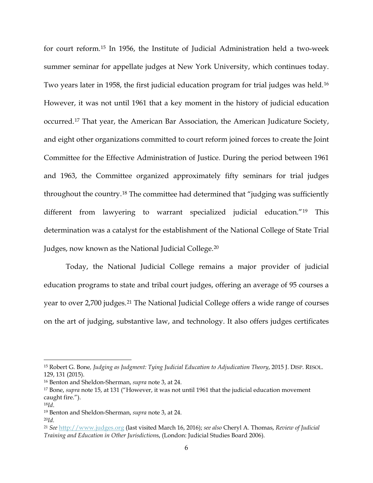for court reform[.15](#page-5-0) In 1956, the Institute of Judicial Administration held a two-week summer seminar for appellate judges at New York University, which continues today. Two years later in 1958, the first judicial education program for trial judges was held.[16](#page-5-1) However, it was not until 1961 that a key moment in the history of judicial education occurred.[17](#page-5-2) That year, the American Bar Association, the American Judicature Society, and eight other organizations committed to court reform joined forces to create the Joint Committee for the Effective Administration of Justice. During the period between 1961 and 1963, the Committee organized approximately fifty seminars for trial judges throughout the country.[18](#page-5-3) The committee had determined that "judging was sufficiently different from lawyering to warrant specialized judicial education."[19](#page-5-4) This determination was a catalyst for the establishment of the National College of State Trial Judges, now known as the National Judicial College.[20](#page-5-5)

Today, the National Judicial College remains a major provider of judicial education programs to state and tribal court judges, offering an average of 95 courses a year to over 2,700 judges.[21](#page-5-6) The National Judicial College offers a wide range of courses on the art of judging, substantive law, and technology. It also offers judges certificates

<span id="page-5-0"></span> <sup>15</sup> Robert G. Bone*, Judging as Judgment: Tying Judicial Education to Adjudication Theory*, 2015 J. DISP. RESOL. 129, 131 (2015).

<span id="page-5-1"></span><sup>16</sup> Benton and Sheldon-Sherman, *supra* note 3, at 24.

<span id="page-5-2"></span><sup>17</sup> Bone, *supra* note 15, at 131 ("However, it was not until 1961 that the judicial education movement caught fire.").

<span id="page-5-3"></span><sup>18</sup>*Id*.

<span id="page-5-4"></span><sup>19</sup> Benton and Sheldon-Sherman, *supra* note 3, at 24.

<span id="page-5-5"></span><sup>20</sup>*Id.*

<span id="page-5-6"></span><sup>21</sup> *See* [http://www.judges.org](http://www.judges.org/) (last visited March 16, 2016); *see also* Cheryl A. Thomas, *Review of Judicial Training and Education in Other Jurisdiction*s, (London: Judicial Studies Board 2006).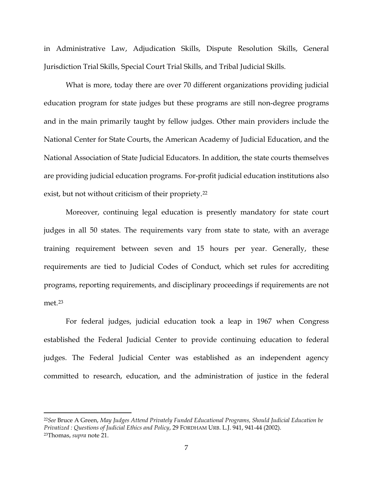in Administrative Law, Adjudication Skills, Dispute Resolution Skills, General Jurisdiction Trial Skills, Special Court Trial Skills, and Tribal Judicial Skills.

What is more, today there are over 70 different organizations providing judicial education program for state judges but these programs are still non-degree programs and in the main primarily taught by fellow judges. Other main providers include the National Center for State Courts, the American Academy of Judicial Education, and the National Association of State Judicial Educators. In addition, the state courts themselves are providing judicial education programs. For-profit judicial education institutions also exist, but not without criticism of their propriety.[22](#page-6-0)

Moreover, continuing legal education is presently mandatory for state court judges in all 50 states. The requirements vary from state to state, with an average training requirement between seven and 15 hours per year. Generally, these requirements are tied to Judicial Codes of Conduct, which set rules for accrediting programs, reporting requirements, and disciplinary proceedings if requirements are not met<sup>[23](#page-6-1)</sup>

For federal judges, judicial education took a leap in 1967 when Congress established the Federal Judicial Center to provide continuing education to federal judges. The Federal Judicial Center was established as an independent agency committed to research, education, and the administration of justice in the federal

<span id="page-6-1"></span><span id="page-6-0"></span> <sup>22</sup>*See* Bruce A Green, *May Judges Attend Privately Funded Educational Programs, Should Judicial Education be Privatized : Questions of Judicial Ethics and Policy*, 29 FORDHAM URB. L.J. 941, 941-44 (2002). 23Thomas, *supra* note 21.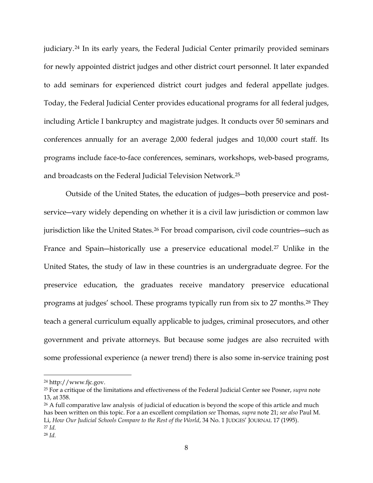judiciary.[24](#page-7-0) In its early years, the Federal Judicial Center primarily provided seminars for newly appointed district judges and other district court personnel. It later expanded to add seminars for experienced district court judges and federal appellate judges. Today, the Federal Judicial Center provides educational programs for all federal judges, including Article I bankruptcy and magistrate judges. It conducts over 50 seminars and conferences annually for an average 2,000 federal judges and 10,000 court staff. Its programs include face-to-face conferences, seminars, workshops, web-based programs, and broadcasts on the Federal Judicial Television Network.[25](#page-7-1)

Outside of the United States, the education of judges―both preservice and postservice—vary widely depending on whether it is a civil law jurisdiction or common law jurisdiction like the United States.[26](#page-7-2) For broad comparison, civil code countries―such as France and Spain-historically use a preservice educational model.<sup>[27](#page-7-3)</sup> Unlike in the United States, the study of law in these countries is an undergraduate degree. For the preservice education, the graduates receive mandatory preservice educational programs at judges' school. These programs typically run from six to 27 months.[28](#page-7-4) They teach a general curriculum equally applicable to judges, criminal prosecutors, and other government and private attorneys. But because some judges are also recruited with some professional experience (a newer trend) there is also some in-service training post

<span id="page-7-1"></span><span id="page-7-0"></span><sup>24</sup> http://www.fjc.gov. 25 For a critique of the limitations and effectiveness of the Federal Judicial Center see Posner, *supra* note 13, at 358.

<span id="page-7-2"></span> $26$  A full comparative law analysis of judicial of education is beyond the scope of this article and much has been written on this topic. For a an excellent compilation *see* Thomas, *supra* note 21; *see also* Paul M. Li, *How Our Judicial Schools Compare to the Rest of the World*, 34 No. 1 JUDGES' JOURNAL 17 (1995). <sup>27</sup> *Id.*

<span id="page-7-4"></span><span id="page-7-3"></span><sup>28</sup> *Id.*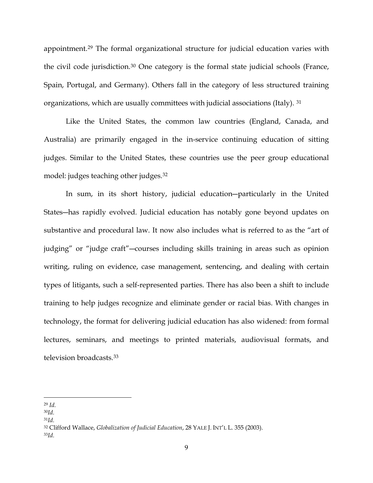appointment.[29](#page-8-0) The formal organizational structure for judicial education varies with the civil code jurisdiction.[30](#page-8-1) One category is the formal state judicial schools (France, Spain, Portugal, and Germany). Others fall in the category of less structured training organizations, which are usually committees with judicial associations (Italy). [31](#page-8-2)

Like the United States, the common law countries (England, Canada, and Australia) are primarily engaged in the in-service continuing education of sitting judges. Similar to the United States, these countries use the peer group educational model: judges teaching other judges.[32](#page-8-3)

In sum, in its short history, judicial education―particularly in the United States―has rapidly evolved. Judicial education has notably gone beyond updates on substantive and procedural law. It now also includes what is referred to as the "art of judging" or "judge craft"―courses including skills training in areas such as opinion writing, ruling on evidence, case management, sentencing, and dealing with certain types of litigants, such a self-represented parties. There has also been a shift to include training to help judges recognize and eliminate gender or racial bias. With changes in technology, the format for delivering judicial education has also widened: from formal lectures, seminars, and meetings to printed materials, audiovisual formats, and television broadcasts.[33](#page-8-4)

<span id="page-8-0"></span> <sup>29</sup> *Id.*

<span id="page-8-1"></span><sup>30</sup>*Id.*

<span id="page-8-2"></span><sup>31</sup>*Id.*

<span id="page-8-3"></span><sup>32</sup> Clifford Wallace, *Globalization of Judicial Education*, 28 YALE J. INT'L L. 355 (2003). 33*Id.*

<span id="page-8-4"></span>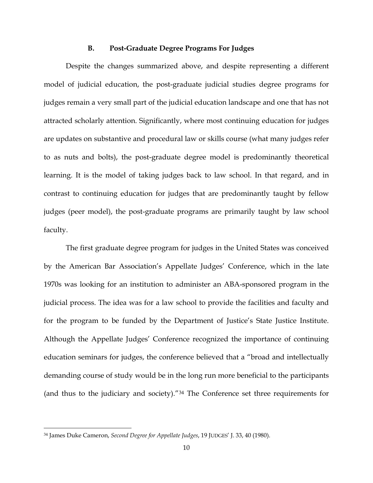### **B. Post-Graduate Degree Programs For Judges**

Despite the changes summarized above, and despite representing a different model of judicial education, the post-graduate judicial studies degree programs for judges remain a very small part of the judicial education landscape and one that has not attracted scholarly attention. Significantly, where most continuing education for judges are updates on substantive and procedural law or skills course (what many judges refer to as nuts and bolts), the post-graduate degree model is predominantly theoretical learning. It is the model of taking judges back to law school. In that regard, and in contrast to continuing education for judges that are predominantly taught by fellow judges (peer model), the post-graduate programs are primarily taught by law school faculty.

The first graduate degree program for judges in the United States was conceived by the American Bar Association's Appellate Judges' Conference, which in the late 1970s was looking for an institution to administer an ABA-sponsored program in the judicial process. The idea was for a law school to provide the facilities and faculty and for the program to be funded by the Department of Justice's State Justice Institute. Although the Appellate Judges' Conference recognized the importance of continuing education seminars for judges, the conference believed that a "broad and intellectually demanding course of study would be in the long run more beneficial to the participants (and thus to the judiciary and society)."[34](#page-9-0) The Conference set three requirements for

<span id="page-9-0"></span> <sup>34</sup> James Duke Cameron, *Second Degree for Appellate Judges*, 19 JUDGES' J. 33, 40 (1980).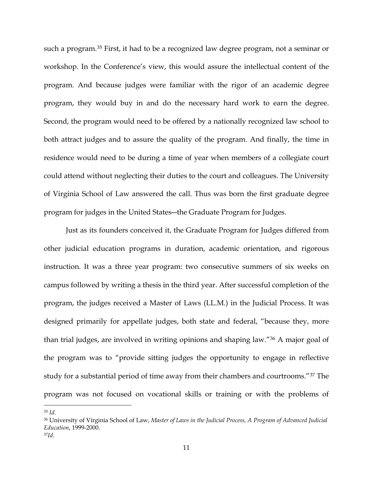such a program[.35](#page-10-0) First, it had to be a recognized law degree program, not a seminar or workshop. In the Conference's view, this would assure the intellectual content of the program. And because judges were familiar with the rigor of an academic degree program, they would buy in and do the necessary hard work to earn the degree. Second, the program would need to be offered by a nationally recognized law school to both attract judges and to assure the quality of the program. And finally, the time in residence would need to be during a time of year when members of a collegiate court could attend without neglecting their duties to the court and colleagues. The University of Virginia School of Law answered the call. Thus was born the first graduate degree program for judges in the United States―the Graduate Program for Judges.

Just as its founders conceived it, the Graduate Program for Judges differed from other judicial education programs in duration, academic orientation, and rigorous instruction. It was a three year program: two consecutive summers of six weeks on campus followed by writing a thesis in the third year. After successful completion of the program, the judges received a Master of Laws (LL.M.) in the Judicial Process. It was designed primarily for appellate judges, both state and federal, "because they, more than trial judges, are involved in writing opinions and shaping law."[36](#page-10-1) A major goal of the program was to "provide sitting judges the opportunity to engage in reflective study for a substantial period of time away from their chambers and courtrooms."[37](#page-10-2) The program was not focused on vocational skills or training or with the problems of

<span id="page-10-0"></span> <sup>35</sup> *Id.*

<span id="page-10-1"></span><sup>36</sup> University of Virginia School of Law, *Master of Laws in the Judicial Process, A Program of Advanced Judicial Education*, 1999-2000.

<span id="page-10-2"></span><sup>37</sup>*Id*.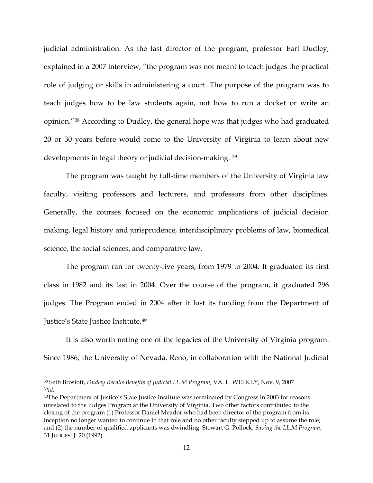judicial administration. As the last director of the program, professor Earl Dudley, explained in a 2007 interview, "the program was not meant to teach judges the practical role of judging or skills in administering a court. The purpose of the program was to teach judges how to be law students again, not how to run a docket or write an opinion."[38](#page-11-0) According to Dudley, the general hope was that judges who had graduated 20 or 30 years before would come to the University of Virginia to learn about new developments in legal theory or judicial decision-making. [39](#page-11-1)

The program was taught by full-time members of the University of Virginia law faculty, visiting professors and lecturers, and professors from other disciplines. Generally, the courses focused on the economic implications of judicial decision making, legal history and jurisprudence, interdisciplinary problems of law, biomedical science, the social sciences, and comparative law.

The program ran for twenty-five years, from 1979 to 2004. It graduated its first class in 1982 and its last in 2004. Over the course of the program, it graduated 296 judges. The Program ended in 2004 after it lost its funding from the Department of Justice's State Justice Institute.[40](#page-11-2)

It is also worth noting one of the legacies of the University of Virginia program. Since 1986, the University of Nevada, Reno, in collaboration with the National Judicial

<span id="page-11-1"></span><span id="page-11-0"></span> <sup>38</sup> Seth Brostoff, *Dudley Recalls Benefits of Judicial LL.M Program*, VA. L. WEEKLY, Nov. 9, 2007. <sup>39</sup>*Id*.

<span id="page-11-2"></span><sup>40</sup>The Department of Justice's State Justice Institute was terminated by Congress in 2003 for reasons unrelated to the Judges Program at the University of Virginia. Two other factors contributed to the closing of the program (1) Professor Daniel Meador who had been director of the program from its inception no longer wanted to continue in that role and no other faculty stepped up to assume the role; and (2) the number of qualified applicants was dwindling. Stewart G. Pollock, *Saving the LL.M Program*, 31 JUDGES' J. 20 (1992).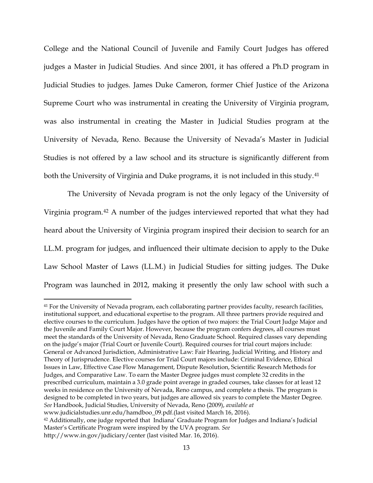College and the National Council of Juvenile and Family Court Judges has offered judges a Master in Judicial Studies. And since 2001, it has offered a Ph.D program in Judicial Studies to judges. James Duke Cameron, former Chief Justice of the Arizona Supreme Court who was instrumental in creating the University of Virginia program, was also instrumental in creating the Master in Judicial Studies program at the University of Nevada, Reno. Because the University of Nevada's Master in Judicial Studies is not offered by a law school and its structure is significantly different from both the University of Virginia and Duke programs, it is not included in this study.<sup>[41](#page-12-0)</sup>

The University of Nevada program is not the only legacy of the University of Virginia program.[42](#page-12-1) A number of the judges interviewed reported that what they had heard about the University of Virginia program inspired their decision to search for an LL.M. program for judges, and influenced their ultimate decision to apply to the Duke Law School Master of Laws (LL.M.) in Judicial Studies for sitting judges. The Duke Program was launched in 2012, making it presently the only law school with such a

<span id="page-12-1"></span><span id="page-12-0"></span><sup>&</sup>lt;sup>41</sup> For the University of Nevada program, each collaborating partner provides faculty, research facilities, institutional support, and educational expertise to the program. All three partners provide required and elective courses to the curriculum. Judges have the option of two majors: the Trial Court Judge Major and the Juvenile and Family Court Major. However, because the program confers degrees, all courses must meet the standards of the University of Nevada, Reno Graduate School. Required classes vary depending on the judge's major (Trial Court or Juvenile Court). Required courses for trial court majors include: General or Advanced Jurisdiction, Administrative Law: Fair Hearing, Judicial Writing, and History and Theory of Jurisprudence. Elective courses for Trial Court majors include: Criminal Evidence, Ethical Issues in Law, Effective Case Flow Management, Dispute Resolution, Scientific Research Methods for Judges, and Comparative Law. To earn the Master Degree judges must complete 32 credits in the prescribed curriculum, maintain a 3.0 grade point average in graded courses, take classes for at least 12 weeks in residence on the University of Nevada, Reno campus, and complete a thesis. The program is designed to be completed in two years, but judges are allowed six years to complete the Master Degree. *See* Handbook, Judicial Studies, University of Nevada, Reno (2009), *available at* www.judicialstudies.unr.edu/hamdboo\_09.pdf.(last visited March 16, 2016). <sup>42</sup> Additionally, one judge reported that Indiana' Graduate Program for Judges and Indiana's Judicial Master's Certificate Program were inspired by the UVA program. *See* http://www.in.gov/judiciary/center (last visited Mar. 16, 2016).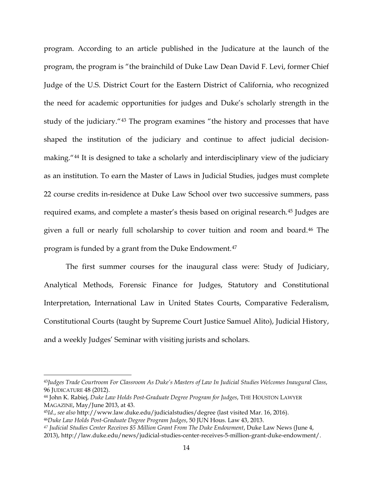program. According to an article published in the Judicature at the launch of the program, the program is "the brainchild of Duke Law Dean David F. Levi, former Chief Judge of the U.S. District Court for the Eastern District of California, who recognized the need for academic opportunities for judges and Duke's scholarly strength in the study of the judiciary."[43](#page-13-0) The program examines "the history and processes that have shaped the institution of the judiciary and continue to affect judicial decisionmaking."[44](#page-13-1) It is designed to take a scholarly and interdisciplinary view of the judiciary as an institution. To earn the Master of Laws in Judicial Studies, judges must complete 22 course credits in-residence at Duke Law School over two successive summers, pass required exams, and complete a master's thesis based on original research.[45](#page-13-2) Judges are given a full or nearly full scholarship to cover tuition and room and board.[46](#page-13-3) The program is funded by a grant from the Duke Endowment.[47](#page-13-4)

The first summer courses for the inaugural class were: Study of Judiciary, Analytical Methods, Forensic Finance for Judges, Statutory and Constitutional Interpretation, International Law in United States Courts, Comparative Federalism, Constitutional Courts (taught by Supreme Court Justice Samuel Alito), Judicial History, and a weekly Judges' Seminar with visiting jurists and scholars.

<span id="page-13-3"></span><span id="page-13-2"></span><sup>45</sup>*Id*., *see also* http://www.law.duke.edu/judicialstudies/degree (last visited Mar. 16, 2016). <sup>46</sup>*Duke Law Holds Post-Graduate Degree Program Judges*, 50 JUN Hous. Law 43, 2013.

<span id="page-13-0"></span> <sup>43</sup>*Judges Trade Courtroom For Classroom As Duke's Masters of Law In Judicial Studies Welcomes Inaugural Class*, 96 JUDICATURE 48 (2012).

<span id="page-13-1"></span><sup>44</sup> John K. Rabiej, *Duke Law Holds Post-Graduate Degree Program for Judges*, THE HOUSTON LAWYER MAGAZINE, May/June 2013, at 43.

<span id="page-13-4"></span>*<sup>47</sup> Judicial Studies Center Receives \$5 Million Grant From The Duke Endowment*, Duke Law News (June 4, 2013), http://law.duke.edu/news/judicial-studies-center-receives-5-million-grant-duke-endowment/.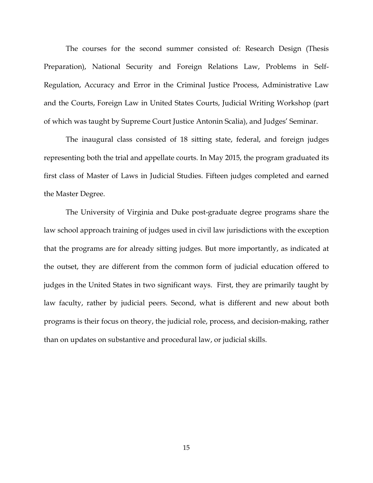The courses for the second summer consisted of: Research Design (Thesis Preparation), National Security and Foreign Relations Law, Problems in Self-Regulation, Accuracy and Error in the Criminal Justice Process, Administrative Law and the Courts, Foreign Law in United States Courts, Judicial Writing Workshop (part of which was taught by Supreme Court Justice Antonin Scalia), and Judges' Seminar.

The inaugural class consisted of 18 sitting state, federal, and foreign judges representing both the trial and appellate courts. In May 2015, the program graduated its first class of Master of Laws in Judicial Studies. Fifteen judges completed and earned the Master Degree.

The University of Virginia and Duke post-graduate degree programs share the law school approach training of judges used in civil law jurisdictions with the exception that the programs are for already sitting judges. But more importantly, as indicated at the outset, they are different from the common form of judicial education offered to judges in the United States in two significant ways. First, they are primarily taught by law faculty, rather by judicial peers. Second, what is different and new about both programs is their focus on theory, the judicial role, process, and decision-making, rather than on updates on substantive and procedural law, or judicial skills.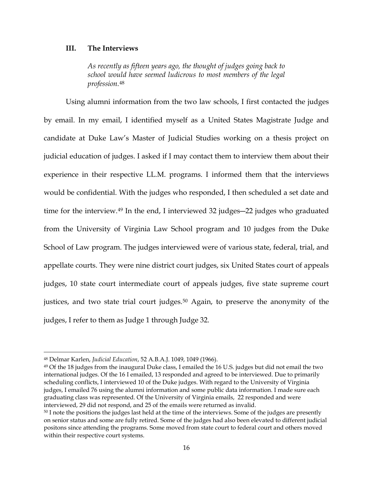### **III. The Interviews**

*As recently as fifteen years ago, the thought of judges going back to school would have seemed ludicrous to most members of the legal profession.*[48](#page-15-0)

Using alumni information from the two law schools, I first contacted the judges by email. In my email, I identified myself as a United States Magistrate Judge and candidate at Duke Law's Master of Judicial Studies working on a thesis project on judicial education of judges. I asked if I may contact them to interview them about their experience in their respective LL.M. programs. I informed them that the interviews would be confidential. With the judges who responded, I then scheduled a set date and time for the interview.<sup>[49](#page-15-1)</sup> In the end, I interviewed 32 judges—22 judges who graduated from the University of Virginia Law School program and 10 judges from the Duke School of Law program. The judges interviewed were of various state, federal, trial, and appellate courts. They were nine district court judges, six United States court of appeals judges, 10 state court intermediate court of appeals judges, five state supreme court justices, and two state trial court judges.<sup>[50](#page-15-2)</sup> Again, to preserve the anonymity of the judges, I refer to them as Judge 1 through Judge 32.

<span id="page-15-0"></span> <sup>48</sup> Delmar Karlen, *Judicial Education*, 52 A.B.A.J. 1049, 1049 (1966).

<span id="page-15-1"></span> $49$  Of the 18 judges from the inaugural Duke class, I emailed the 16 U.S. judges but did not email the two international judges. Of the 16 I emailed, 13 responded and agreed to be interviewed. Due to primarily scheduling conflicts, I interviewed 10 of the Duke judges. With regard to the University of Virginia judges, I emailed 76 using the alumni information and some public data information. I made sure each graduating class was represented. Of the University of Virginia emails, 22 responded and were interviewed, 29 did not respond, and 25 of the emails were returned as invalid.

<span id="page-15-2"></span><sup>&</sup>lt;sup>50</sup> I note the positions the judges last held at the time of the interviews. Some of the judges are presently on senior status and some are fully retired. Some of the judges had also been elevated to different judicial positons since attending the programs. Some moved from state court to federal court and others moved within their respective court systems.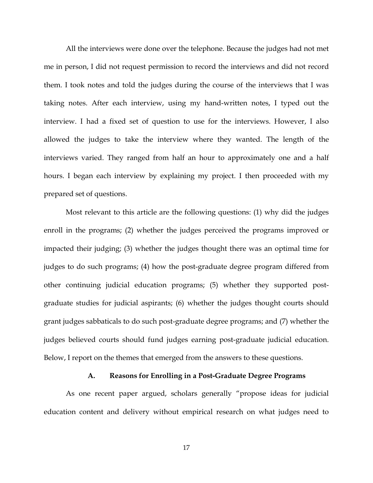All the interviews were done over the telephone. Because the judges had not met me in person, I did not request permission to record the interviews and did not record them. I took notes and told the judges during the course of the interviews that I was taking notes. After each interview, using my hand-written notes, I typed out the interview. I had a fixed set of question to use for the interviews. However, I also allowed the judges to take the interview where they wanted. The length of the interviews varied. They ranged from half an hour to approximately one and a half hours. I began each interview by explaining my project. I then proceeded with my prepared set of questions.

Most relevant to this article are the following questions: (1) why did the judges enroll in the programs; (2) whether the judges perceived the programs improved or impacted their judging; (3) whether the judges thought there was an optimal time for judges to do such programs; (4) how the post-graduate degree program differed from other continuing judicial education programs; (5) whether they supported postgraduate studies for judicial aspirants; (6) whether the judges thought courts should grant judges sabbaticals to do such post-graduate degree programs; and (7) whether the judges believed courts should fund judges earning post-graduate judicial education. Below, I report on the themes that emerged from the answers to these questions.

## **A. Reasons for Enrolling in a Post-Graduate Degree Programs**

As one recent paper argued, scholars generally "propose ideas for judicial education content and delivery without empirical research on what judges need to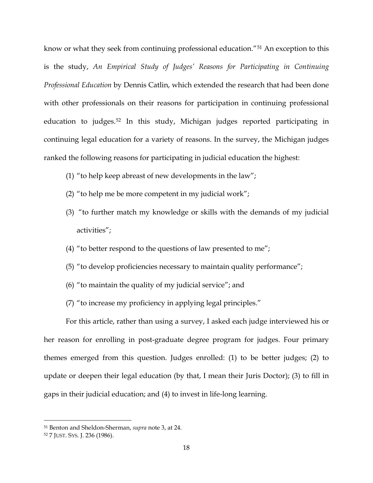know or what they seek from continuing professional education."[51](#page-17-0) An exception to this is the study, An Empirical Study of Judges' Reasons for Participating in Continuing *Professional Education* by Dennis Catlin, which extended the research that had been done with other professionals on their reasons for participation in continuing professional education to judges.[52](#page-17-1) In this study, Michigan judges reported participating in continuing legal education for a variety of reasons. In the survey, the Michigan judges ranked the following reasons for participating in judicial education the highest:

- (1) "to help keep abreast of new developments in the law";
- (2) "to help me be more competent in my judicial work";
- (3) "to further match my knowledge or skills with the demands of my judicial activities";
- (4) "to better respond to the questions of law presented to me";
- (5) "to develop proficiencies necessary to maintain quality performance";
- (6) "to maintain the quality of my judicial service"; and
- (7) "to increase my proficiency in applying legal principles."

For this article, rather than using a survey, I asked each judge interviewed his or her reason for enrolling in post-graduate degree program for judges. Four primary themes emerged from this question. Judges enrolled: (1) to be better judges; (2) to update or deepen their legal education (by that, I mean their Juris Doctor); (3) to fill in gaps in their judicial education; and (4) to invest in life-long learning.

<span id="page-17-0"></span> <sup>51</sup> Benton and Sheldon-Sherman, *supra* note 3, at 24.

<span id="page-17-1"></span><sup>52</sup> 7 JUST. SYS. J. 236 (1986).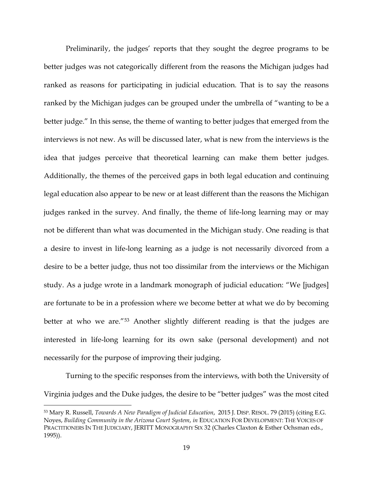Preliminarily, the judges' reports that they sought the degree programs to be better judges was not categorically different from the reasons the Michigan judges had ranked as reasons for participating in judicial education. That is to say the reasons ranked by the Michigan judges can be grouped under the umbrella of "wanting to be a better judge." In this sense, the theme of wanting to better judges that emerged from the interviews is not new. As will be discussed later, what is new from the interviews is the idea that judges perceive that theoretical learning can make them better judges. Additionally, the themes of the perceived gaps in both legal education and continuing legal education also appear to be new or at least different than the reasons the Michigan judges ranked in the survey. And finally, the theme of life-long learning may or may not be different than what was documented in the Michigan study. One reading is that a desire to invest in life-long learning as a judge is not necessarily divorced from a desire to be a better judge, thus not too dissimilar from the interviews or the Michigan study. As a judge wrote in a landmark monograph of judicial education: "We [judges] are fortunate to be in a profession where we become better at what we do by becoming better at who we are."[53](#page-18-0) Another slightly different reading is that the judges are interested in life-long learning for its own sake (personal development) and not necessarily for the purpose of improving their judging.

Turning to the specific responses from the interviews, with both the University of Virginia judges and the Duke judges, the desire to be "better judges" was the most cited

<span id="page-18-0"></span> <sup>53</sup> Mary R. Russell, *Towards A New Paradigm of Judicial Education*, 2015 J. DISP. RESOL. 79 (2015) (citing E.G. Noyes, *Building Community in the Arizona Court System*, *in* EDUCATION FOR DEVELOPMENT: THE VOICES OF PRACTITIONERS IN THE JUDICIARY, JERITT MONOGRAPHY SIX 32 (Charles Claxton & Esther Ochsman eds., 1995)).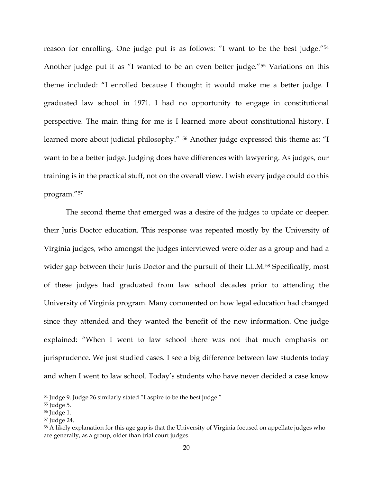reason for enrolling. One judge put is as follows: "I want to be the best judge."[54](#page-19-0) Another judge put it as "I wanted to be an even better judge."[55](#page-19-1) Variations on this theme included: "I enrolled because I thought it would make me a better judge. I graduated law school in 1971. I had no opportunity to engage in constitutional perspective. The main thing for me is I learned more about constitutional history. I learned more about judicial philosophy." [56](#page-19-2) Another judge expressed this theme as: "I want to be a better judge. Judging does have differences with lawyering. As judges, our training is in the practical stuff, not on the overall view. I wish every judge could do this program."[57](#page-19-3)

The second theme that emerged was a desire of the judges to update or deepen their Juris Doctor education. This response was repeated mostly by the University of Virginia judges, who amongst the judges interviewed were older as a group and had a wider gap between their Juris Doctor and the pursuit of their LL.M.<sup>[58](#page-19-4)</sup> Specifically, most of these judges had graduated from law school decades prior to attending the University of Virginia program. Many commented on how legal education had changed since they attended and they wanted the benefit of the new information. One judge explained: "When I went to law school there was not that much emphasis on jurisprudence. We just studied cases. I see a big difference between law students today and when I went to law school. Today's students who have never decided a case know

<span id="page-19-0"></span> <sup>54</sup> Judge 9. Judge 26 similarly stated "I aspire to be the best judge."

<span id="page-19-1"></span><sup>55</sup> Judge 5.

<span id="page-19-2"></span><sup>56</sup> Judge 1.

<span id="page-19-3"></span><sup>57</sup> Judge 24.

<span id="page-19-4"></span><sup>58</sup> A likely explanation for this age gap is that the University of Virginia focused on appellate judges who are generally, as a group, older than trial court judges.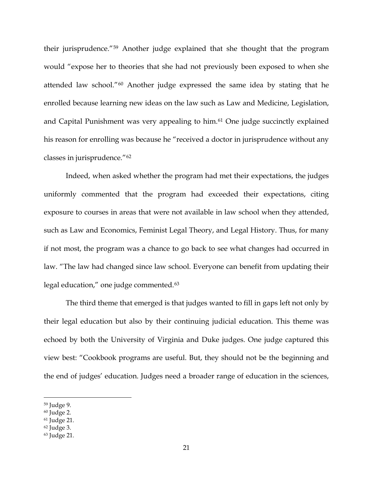their jurisprudence."[59](#page-20-0) Another judge explained that she thought that the program would "expose her to theories that she had not previously been exposed to when she attended law school."[60](#page-20-1) Another judge expressed the same idea by stating that he enrolled because learning new ideas on the law such as Law and Medicine, Legislation, and Capital Punishment was very appealing to him.[61](#page-20-2) One judge succinctly explained his reason for enrolling was because he "received a doctor in jurisprudence without any classes in jurisprudence."[62](#page-20-3)

Indeed, when asked whether the program had met their expectations, the judges uniformly commented that the program had exceeded their expectations, citing exposure to courses in areas that were not available in law school when they attended, such as Law and Economics, Feminist Legal Theory, and Legal History. Thus, for many if not most, the program was a chance to go back to see what changes had occurred in law. "The law had changed since law school. Everyone can benefit from updating their legal education," one judge commented.<sup>[63](#page-20-4)</sup>

The third theme that emerged is that judges wanted to fill in gaps left not only by their legal education but also by their continuing judicial education. This theme was echoed by both the University of Virginia and Duke judges. One judge captured this view best: "Cookbook programs are useful. But, they should not be the beginning and the end of judges' education. Judges need a broader range of education in the sciences,

<span id="page-20-0"></span> <sup>59</sup> Judge 9.

<span id="page-20-1"></span><sup>60</sup> Judge 2.

<span id="page-20-2"></span><sup>61</sup> Judge 21.

<span id="page-20-3"></span><sup>62</sup> Judge 3.

<span id="page-20-4"></span><sup>63</sup> Judge 21.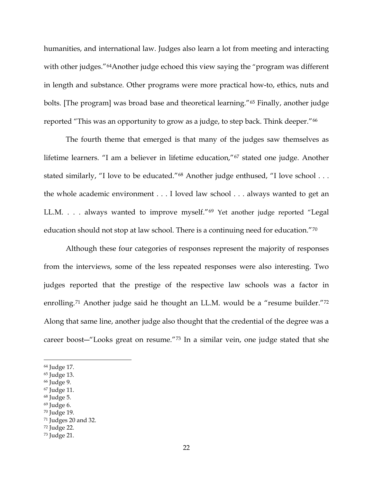humanities, and international law. Judges also learn a lot from meeting and interacting with other judges."<sup>[64](#page-21-0)</sup>Another judge echoed this view saying the "program was different in length and substance. Other programs were more practical how-to, ethics, nuts and bolts. [The program] was broad base and theoretical learning."<sup>[65](#page-21-1)</sup> Finally, another judge reported "This was an opportunity to grow as a judge, to step back. Think deeper."[66](#page-21-2)

The fourth theme that emerged is that many of the judges saw themselves as lifetime learners. "I am a believer in lifetime education,"[67](#page-21-3) stated one judge. Another stated similarly, "I love to be educated."<sup>[68](#page-21-4)</sup> Another judge enthused, "I love school . . . the whole academic environment . . . I loved law school . . . always wanted to get an LL.M. . . . always wanted to improve myself."[69](#page-21-5) Yet another judge reported "Legal education should not stop at law school. There is a continuing need for education."[70](#page-21-6)

Although these four categories of responses represent the majority of responses from the interviews, some of the less repeated responses were also interesting. Two judges reported that the prestige of the respective law schools was a factor in enrolling.<sup>[71](#page-21-7)</sup> Another judge said he thought an LL.M. would be a "resume builder."<sup>[72](#page-21-8)</sup> Along that same line, another judge also thought that the credential of the degree was a career boost―"Looks great on resume."[73](#page-21-9) In a similar vein, one judge stated that she

- <span id="page-21-4"></span><sup>68</sup> Judge 5.
- <span id="page-21-5"></span><sup>69</sup> Judge 6.

<span id="page-21-8"></span><sup>72</sup> Judge 22.

<span id="page-21-0"></span> <sup>64</sup> Judge 17.

<span id="page-21-1"></span><sup>65</sup> Judge 13.

<span id="page-21-2"></span><sup>66</sup> Judge 9.

<span id="page-21-3"></span><sup>67</sup> Judge 11.

<span id="page-21-6"></span><sup>70</sup> Judge 19.

<span id="page-21-7"></span><sup>71</sup> Judges 20 and 32.

<span id="page-21-9"></span><sup>73</sup> Judge 21.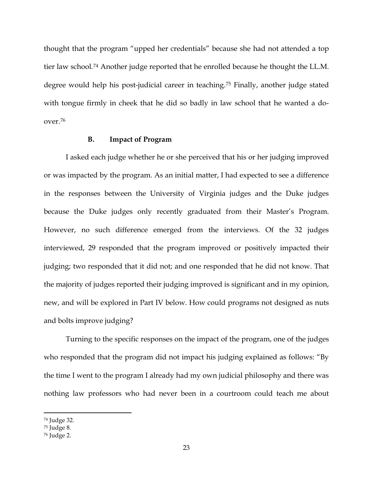thought that the program "upped her credentials" because she had not attended a top tier law school.[74](#page-22-0) Another judge reported that he enrolled because he thought the LL.M. degree would help his post-judicial career in teaching.[75](#page-22-1) Finally, another judge stated with tongue firmly in cheek that he did so badly in law school that he wanted a doover.[76](#page-22-2)

### **B. Impact of Program**

I asked each judge whether he or she perceived that his or her judging improved or was impacted by the program. As an initial matter, I had expected to see a difference in the responses between the University of Virginia judges and the Duke judges because the Duke judges only recently graduated from their Master's Program. However, no such difference emerged from the interviews. Of the 32 judges interviewed, 29 responded that the program improved or positively impacted their judging; two responded that it did not; and one responded that he did not know. That the majority of judges reported their judging improved is significant and in my opinion, new, and will be explored in Part IV below. How could programs not designed as nuts and bolts improve judging?

Turning to the specific responses on the impact of the program, one of the judges who responded that the program did not impact his judging explained as follows: "By the time I went to the program I already had my own judicial philosophy and there was nothing law professors who had never been in a courtroom could teach me about

<span id="page-22-0"></span> <sup>74</sup> Judge 32.

<span id="page-22-1"></span><sup>75</sup> Judge 8.

<span id="page-22-2"></span><sup>76</sup> Judge 2.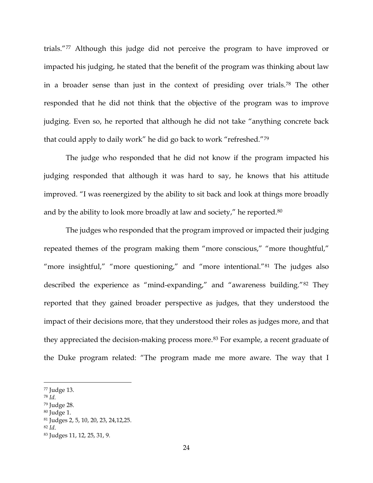trials."[77](#page-23-0) Although this judge did not perceive the program to have improved or impacted his judging, he stated that the benefit of the program was thinking about law in a broader sense than just in the context of presiding over trials.[78](#page-23-1) The other responded that he did not think that the objective of the program was to improve judging. Even so, he reported that although he did not take "anything concrete back that could apply to daily work" he did go back to work "refreshed."[79](#page-23-2)

The judge who responded that he did not know if the program impacted his judging responded that although it was hard to say, he knows that his attitude improved. "I was reenergized by the ability to sit back and look at things more broadly and by the ability to look more broadly at law and society," he reported.<sup>[80](#page-23-3)</sup>

The judges who responded that the program improved or impacted their judging repeated themes of the program making them "more conscious," "more thoughtful," "more insightful," "more questioning," and "more intentional."<sup>[81](#page-23-4)</sup> The judges also described the experience as "mind-expanding," and "awareness building."[82](#page-23-5) They reported that they gained broader perspective as judges, that they understood the impact of their decisions more, that they understood their roles as judges more, and that they appreciated the decision-making process more.<sup>[83](#page-23-6)</sup> For example, a recent graduate of the Duke program related: "The program made me more aware. The way that I

<span id="page-23-0"></span> <sup>77</sup> Judge 13.

<span id="page-23-1"></span><sup>78</sup> *Id.*

<span id="page-23-2"></span><sup>79</sup> Judge 28.

<span id="page-23-3"></span><sup>80</sup> Judge 1.

<span id="page-23-4"></span><sup>81</sup> Judges 2, 5, 10, 20, 23, 24,12,25.

<span id="page-23-5"></span><sup>82</sup> *Id*.

<span id="page-23-6"></span><sup>83</sup> Judges 11, 12, 25, 31, 9.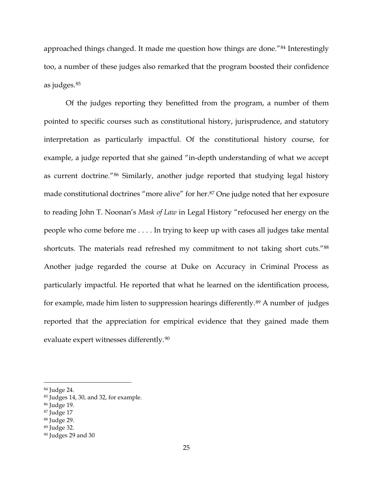approached things changed. It made me question how things are done."[84](#page-24-0) Interestingly too, a number of these judges also remarked that the program boosted their confidence as judges.[85](#page-24-1)

Of the judges reporting they benefitted from the program, a number of them pointed to specific courses such as constitutional history, jurisprudence, and statutory interpretation as particularly impactful. Of the constitutional history course, for example, a judge reported that she gained "in-depth understanding of what we accept as current doctrine."[86](#page-24-2) Similarly, another judge reported that studying legal history made constitutional doctrines "more alive" for her.<sup>[87](#page-24-3)</sup> One judge noted that her exposure to reading John T. Noonan's *Mask of Law* in Legal History "refocused her energy on the people who come before me . . . . In trying to keep up with cases all judges take mental shortcuts. The materials read refreshed my commitment to not taking short cuts."<sup>[88](#page-24-4)</sup> Another judge regarded the course at Duke on Accuracy in Criminal Process as particularly impactful. He reported that what he learned on the identification process, for example, made him listen to suppression hearings differently.<sup>[89](#page-24-5)</sup> A number of judges reported that the appreciation for empirical evidence that they gained made them evaluate expert witnesses differently.[90](#page-24-6)

<span id="page-24-5"></span><sup>89</sup> Judge 32.

<span id="page-24-0"></span> <sup>84</sup> Judge 24.

<span id="page-24-1"></span><sup>85</sup> Judges 14, 30, and 32, for example.

<span id="page-24-2"></span><sup>86</sup> Judge 19.

<span id="page-24-3"></span><sup>87</sup> Judge 17

<span id="page-24-4"></span><sup>88</sup> Judge 29.

<span id="page-24-6"></span><sup>90</sup> Judges 29 and 30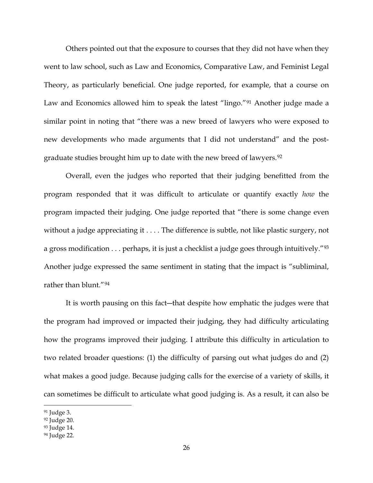Others pointed out that the exposure to courses that they did not have when they went to law school, such as Law and Economics, Comparative Law, and Feminist Legal Theory, as particularly beneficial. One judge reported, for example, that a course on Law and Economics allowed him to speak the latest "lingo."<sup>[91](#page-25-0)</sup> Another judge made a similar point in noting that "there was a new breed of lawyers who were exposed to new developments who made arguments that I did not understand" and the postgraduate studies brought him up to date with the new breed of lawyers.[92](#page-25-1)

Overall, even the judges who reported that their judging benefitted from the program responded that it was difficult to articulate or quantify exactly *how* the program impacted their judging. One judge reported that "there is some change even without a judge appreciating it . . . . The difference is subtle, not like plastic surgery, not a gross modification . . . perhaps, it is just a checklist a judge goes through intuitively."<sup>[93](#page-25-2)</sup> Another judge expressed the same sentiment in stating that the impact is "subliminal, rather than blunt."[94](#page-25-3)

It is worth pausing on this fact―that despite how emphatic the judges were that the program had improved or impacted their judging, they had difficulty articulating how the programs improved their judging. I attribute this difficulty in articulation to two related broader questions: (1) the difficulty of parsing out what judges do and (2) what makes a good judge. Because judging calls for the exercise of a variety of skills, it can sometimes be difficult to articulate what good judging is. As a result, it can also be

<span id="page-25-0"></span> <sup>91</sup> Judge 3.

<span id="page-25-1"></span><sup>92</sup> Judge 20.

<span id="page-25-2"></span><sup>93</sup> Judge 14.

<span id="page-25-3"></span><sup>94</sup> Judge 22.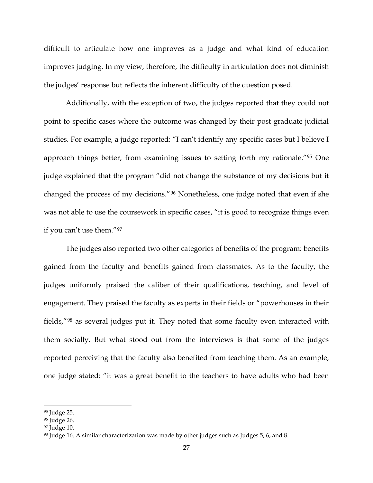difficult to articulate how one improves as a judge and what kind of education improves judging. In my view, therefore, the difficulty in articulation does not diminish the judges' response but reflects the inherent difficulty of the question posed.

Additionally, with the exception of two, the judges reported that they could not point to specific cases where the outcome was changed by their post graduate judicial studies. For example, a judge reported: "I can't identify any specific cases but I believe I approach things better, from examining issues to setting forth my rationale."[95](#page-26-0) One judge explained that the program "did not change the substance of my decisions but it changed the process of my decisions."[96](#page-26-1) Nonetheless, one judge noted that even if she was not able to use the coursework in specific cases, "it is good to recognize things even if you can't use them."[97](#page-26-2)

The judges also reported two other categories of benefits of the program: benefits gained from the faculty and benefits gained from classmates. As to the faculty, the judges uniformly praised the caliber of their qualifications, teaching, and level of engagement. They praised the faculty as experts in their fields or "powerhouses in their fields,"[98](#page-26-3) as several judges put it. They noted that some faculty even interacted with them socially. But what stood out from the interviews is that some of the judges reported perceiving that the faculty also benefited from teaching them. As an example, one judge stated: "it was a great benefit to the teachers to have adults who had been

<span id="page-26-0"></span><sup>95</sup> Judge 25.

<span id="page-26-1"></span><sup>96</sup> Judge 26.

<span id="page-26-2"></span><sup>97</sup> Judge 10.

<span id="page-26-3"></span><sup>98</sup> Judge 16. A similar characterization was made by other judges such as Judges 5, 6, and 8.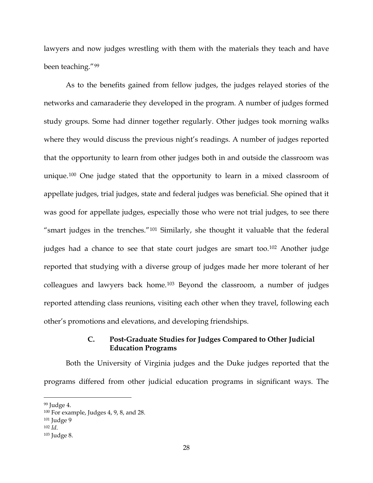lawyers and now judges wrestling with them with the materials they teach and have been teaching."[99](#page-27-0)

As to the benefits gained from fellow judges, the judges relayed stories of the networks and camaraderie they developed in the program. A number of judges formed study groups. Some had dinner together regularly. Other judges took morning walks where they would discuss the previous night's readings. A number of judges reported that the opportunity to learn from other judges both in and outside the classroom was unique.[100](#page-27-1) One judge stated that the opportunity to learn in a mixed classroom of appellate judges, trial judges, state and federal judges was beneficial. She opined that it was good for appellate judges, especially those who were not trial judges, to see there "smart judges in the trenches."[101](#page-27-2) Similarly, she thought it valuable that the federal judges had a chance to see that state court judges are smart too.<sup>[102](#page-27-3)</sup> Another judge reported that studying with a diverse group of judges made her more tolerant of her colleagues and lawyers back home.[103](#page-27-4) Beyond the classroom, a number of judges reported attending class reunions, visiting each other when they travel, following each other's promotions and elevations, and developing friendships.

# **C. Post-Graduate Studies for Judges Compared to Other Judicial Education Programs**

Both the University of Virginia judges and the Duke judges reported that the programs differed from other judicial education programs in significant ways. The

<span id="page-27-0"></span> <sup>99</sup> Judge 4.

<span id="page-27-1"></span><sup>100</sup> For example, Judges 4, 9, 8, and 28.

<span id="page-27-2"></span><sup>101</sup> Judge 9

<span id="page-27-3"></span><sup>102</sup> *Id*.

<span id="page-27-4"></span><sup>103</sup> Judge 8.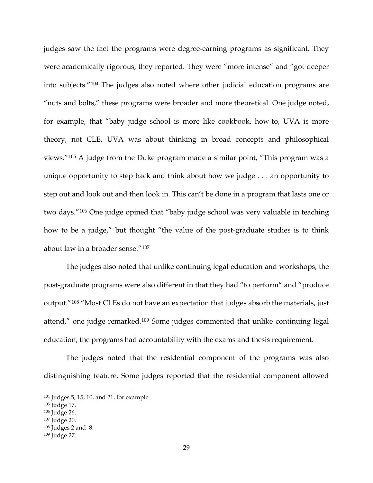judges saw the fact the programs were degree-earning programs as significant. They were academically rigorous, they reported. They were "more intense" and "got deeper into subjects."[104](#page-28-0) The judges also noted where other judicial education programs are "nuts and bolts," these programs were broader and more theoretical. One judge noted, for example, that "baby judge school is more like cookbook, how-to, UVA is more theory, not CLE. UVA was about thinking in broad concepts and philosophical views."[105](#page-28-1) A judge from the Duke program made a similar point, "This program was a unique opportunity to step back and think about how we judge . . . an opportunity to step out and look out and then look in. This can't be done in a program that lasts one or two days."[106](#page-28-2) One judge opined that "baby judge school was very valuable in teaching how to be a judge," but thought "the value of the post-graduate studies is to think about law in a broader sense."[107](#page-28-3)

The judges also noted that unlike continuing legal education and workshops, the post-graduate programs were also different in that they had "to perform" and "produce output."[108](#page-28-4) "Most CLEs do not have an expectation that judges absorb the materials, just attend," one judge remarked.[109](#page-28-5) Some judges commented that unlike continuing legal education, the programs had accountability with the exams and thesis requirement.

The judges noted that the residential component of the programs was also distinguishing feature. Some judges reported that the residential component allowed

<span id="page-28-0"></span> <sup>104</sup> Judges 5, 15, 10, and 21, for example.

<span id="page-28-1"></span><sup>105</sup> Judge 17.

<span id="page-28-2"></span><sup>106</sup> Judge 26.

<span id="page-28-3"></span><sup>107</sup> Judge 20.

<span id="page-28-4"></span><sup>108</sup> Judges 2 and 8.

<span id="page-28-5"></span><sup>109</sup> Judge 27.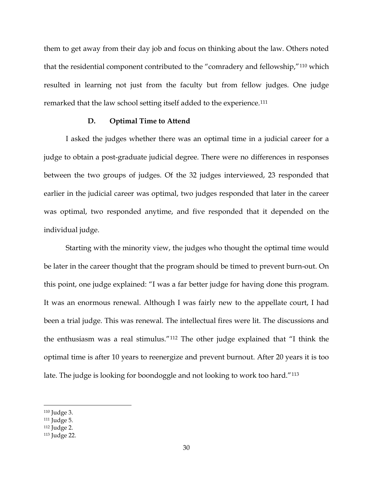them to get away from their day job and focus on thinking about the law. Others noted that the residential component contributed to the "comradery and fellowship,"[110](#page-29-0) which resulted in learning not just from the faculty but from fellow judges. One judge remarked that the law school setting itself added to the experience.[111](#page-29-1)

#### **D. Optimal Time to Attend**

I asked the judges whether there was an optimal time in a judicial career for a judge to obtain a post-graduate judicial degree. There were no differences in responses between the two groups of judges. Of the 32 judges interviewed, 23 responded that earlier in the judicial career was optimal, two judges responded that later in the career was optimal, two responded anytime, and five responded that it depended on the individual judge.

Starting with the minority view, the judges who thought the optimal time would be later in the career thought that the program should be timed to prevent burn-out. On this point, one judge explained: "I was a far better judge for having done this program. It was an enormous renewal. Although I was fairly new to the appellate court, I had been a trial judge. This was renewal. The intellectual fires were lit. The discussions and the enthusiasm was a real stimulus."[112](#page-29-2) The other judge explained that "I think the optimal time is after 10 years to reenergize and prevent burnout. After 20 years it is too late. The judge is looking for boondoggle and not looking to work too hard."[113](#page-29-3)

<span id="page-29-0"></span> <sup>110</sup> Judge 3.

<span id="page-29-1"></span><sup>111</sup> Judge 5.

<span id="page-29-2"></span><sup>112</sup> Judge 2.

<span id="page-29-3"></span><sup>113</sup> Judge 22.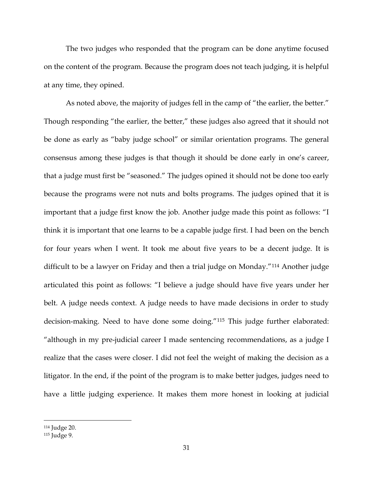The two judges who responded that the program can be done anytime focused on the content of the program. Because the program does not teach judging, it is helpful at any time, they opined.

As noted above, the majority of judges fell in the camp of "the earlier, the better." Though responding "the earlier, the better," these judges also agreed that it should not be done as early as "baby judge school" or similar orientation programs. The general consensus among these judges is that though it should be done early in one's career, that a judge must first be "seasoned." The judges opined it should not be done too early because the programs were not nuts and bolts programs. The judges opined that it is important that a judge first know the job. Another judge made this point as follows: "I think it is important that one learns to be a capable judge first. I had been on the bench for four years when I went. It took me about five years to be a decent judge. It is difficult to be a lawyer on Friday and then a trial judge on Monday."[114](#page-30-0) Another judge articulated this point as follows: "I believe a judge should have five years under her belt. A judge needs context. A judge needs to have made decisions in order to study decision-making. Need to have done some doing."[115](#page-30-1) This judge further elaborated: "although in my pre-judicial career I made sentencing recommendations, as a judge I realize that the cases were closer. I did not feel the weight of making the decision as a litigator. In the end, if the point of the program is to make better judges, judges need to have a little judging experience. It makes them more honest in looking at judicial

<span id="page-30-0"></span> <sup>114</sup> Judge 20.

<span id="page-30-1"></span><sup>115</sup> Judge 9.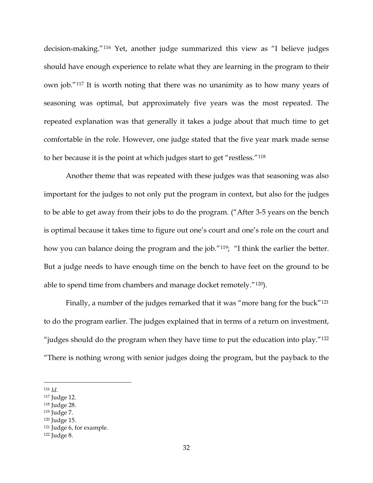decision-making."[116](#page-31-0) Yet, another judge summarized this view as "I believe judges should have enough experience to relate what they are learning in the program to their own job."[117](#page-31-1) It is worth noting that there was no unanimity as to how many years of seasoning was optimal, but approximately five years was the most repeated. The repeated explanation was that generally it takes a judge about that much time to get comfortable in the role. However, one judge stated that the five year mark made sense to her because it is the point at which judges start to get "restless."[118](#page-31-2)

Another theme that was repeated with these judges was that seasoning was also important for the judges to not only put the program in context, but also for the judges to be able to get away from their jobs to do the program. ("After 3-5 years on the bench is optimal because it takes time to figure out one's court and one's role on the court and how you can balance doing the program and the job."<sup>[119](#page-31-3)</sup>; "I think the earlier the better. But a judge needs to have enough time on the bench to have feet on the ground to be able to spend time from chambers and manage docket remotely."[120\)](#page-31-4).

Finally, a number of the judges remarked that it was "more bang for the buck"<sup>[121](#page-31-5)</sup> to do the program earlier. The judges explained that in terms of a return on investment, "judges should do the program when they have time to put the education into play." $122$ "There is nothing wrong with senior judges doing the program, but the payback to the

<span id="page-31-0"></span> <sup>116</sup> *Id.*

<span id="page-31-1"></span><sup>117</sup> Judge 12.

<span id="page-31-2"></span><sup>118</sup> Judge 28.

<span id="page-31-3"></span><sup>119</sup> Judge 7.

<span id="page-31-4"></span><sup>120</sup> Judge 15.

<span id="page-31-5"></span><sup>121</sup> Judge 6, for example.

<span id="page-31-6"></span><sup>122</sup> Judge 8.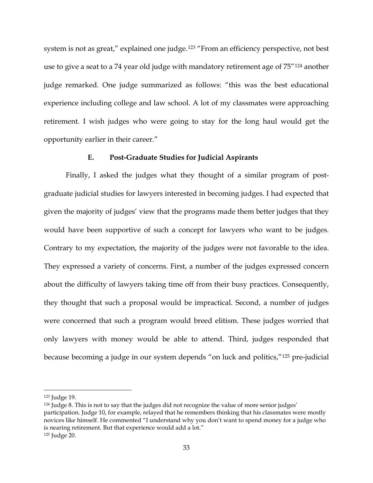system is not as great," explained one judge.<sup>[123](#page-32-0)</sup> "From an efficiency perspective, not best use to give a seat to a 74 year old judge with mandatory retirement age of 75"[124](#page-32-1) another judge remarked. One judge summarized as follows: "this was the best educational experience including college and law school. A lot of my classmates were approaching retirement. I wish judges who were going to stay for the long haul would get the opportunity earlier in their career."

## **E. Post-Graduate Studies for Judicial Aspirants**

Finally, I asked the judges what they thought of a similar program of postgraduate judicial studies for lawyers interested in becoming judges. I had expected that given the majority of judges' view that the programs made them better judges that they would have been supportive of such a concept for lawyers who want to be judges. Contrary to my expectation, the majority of the judges were not favorable to the idea. They expressed a variety of concerns. First, a number of the judges expressed concern about the difficulty of lawyers taking time off from their busy practices. Consequently, they thought that such a proposal would be impractical. Second, a number of judges were concerned that such a program would breed elitism. These judges worried that only lawyers with money would be able to attend. Third, judges responded that because becoming a judge in our system depends "on luck and politics,"[125](#page-32-2) pre-judicial

<span id="page-32-0"></span> <sup>123</sup> Judge 19.

<span id="page-32-2"></span><span id="page-32-1"></span><sup>&</sup>lt;sup>124</sup> Judge 8. This is not to say that the judges did not recognize the value of more senior judges' participation. Judge 10, for example, relayed that he remembers thinking that his classmates were mostly novices like himself. He commented "I understand why you don't want to spend money for a judge who is nearing retirement. But that experience would add a lot." <sup>125</sup> Judge 20.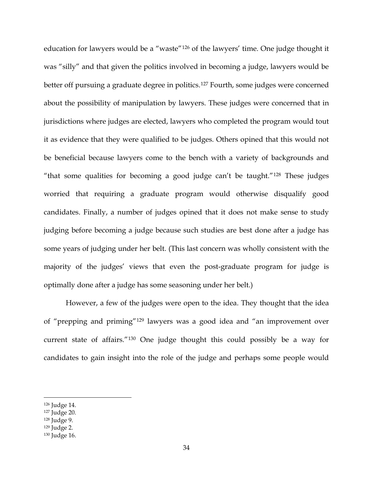education for lawyers would be a "waste"[126](#page-33-0) of the lawyers' time. One judge thought it was "silly" and that given the politics involved in becoming a judge, lawyers would be better off pursuing a graduate degree in politics.<sup>[127](#page-33-1)</sup> Fourth, some judges were concerned about the possibility of manipulation by lawyers. These judges were concerned that in jurisdictions where judges are elected, lawyers who completed the program would tout it as evidence that they were qualified to be judges. Others opined that this would not be beneficial because lawyers come to the bench with a variety of backgrounds and "that some qualities for becoming a good judge can't be taught."[128](#page-33-2) These judges worried that requiring a graduate program would otherwise disqualify good candidates. Finally, a number of judges opined that it does not make sense to study judging before becoming a judge because such studies are best done after a judge has some years of judging under her belt. (This last concern was wholly consistent with the majority of the judges' views that even the post-graduate program for judge is optimally done after a judge has some seasoning under her belt.)

However, a few of the judges were open to the idea. They thought that the idea of "prepping and priming"[129](#page-33-3) lawyers was a good idea and "an improvement over current state of affairs."[130](#page-33-4) One judge thought this could possibly be a way for candidates to gain insight into the role of the judge and perhaps some people would

<span id="page-33-0"></span> <sup>126</sup> Judge 14.

<span id="page-33-1"></span><sup>127</sup> Judge 20.

<span id="page-33-2"></span><sup>128</sup> Judge 9.

<span id="page-33-3"></span><sup>129</sup> Judge 2.

<span id="page-33-4"></span><sup>130</sup> Judge 16.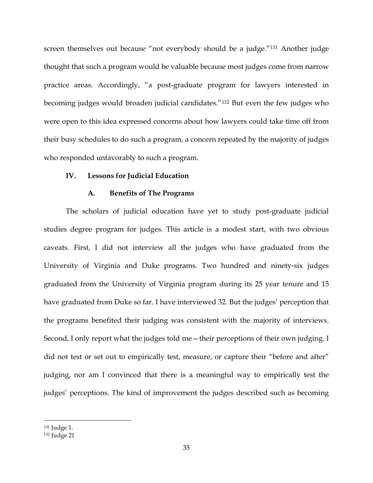screen themselves out because "not everybody should be a judge."[131](#page-34-0) Another judge thought that such a program would be valuable because most judges come from narrow practice areas. Accordingly, "a post-graduate program for lawyers interested in becoming judges would broaden judicial candidates."[132](#page-34-1) But even the few judges who were open to this idea expressed concerns about how lawyers could take time off from their busy schedules to do such a program, a concern repeated by the majority of judges who responded unfavorably to such a program.

## **IV. Lessons for Judicial Education**

## **A. Benefits of The Programs**

The scholars of judicial education have yet to study post-graduate judicial studies degree program for judges. This article is a modest start, with two obvious caveats. First, I did not interview all the judges who have graduated from the University of Virginia and Duke programs. Two hundred and ninety-six judges graduated from the University of Virginia program during its 25 year tenure and 15 have graduated from Duke so far. I have interviewed 32. But the judges' perception that the programs benefited their judging was consistent with the majority of interviews. Second, I only report what the judges told me - their perceptions of their own judging. I did not test or set out to empirically test, measure, or capture their "before and after" judging, nor am I convinced that there is a meaningful way to empirically test the judges' perceptions. The kind of improvement the judges described such as becoming

<span id="page-34-0"></span> <sup>131</sup> Judge 1.

<span id="page-34-1"></span><sup>132</sup> Judge 21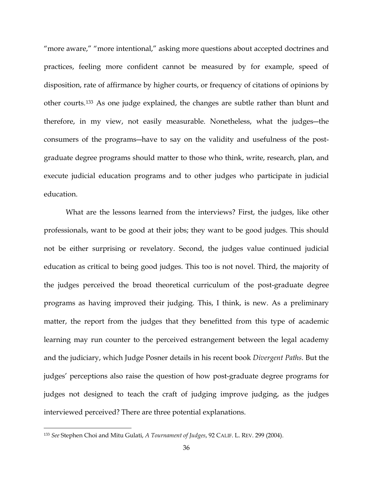"more aware," "more intentional," asking more questions about accepted doctrines and practices, feeling more confident cannot be measured by for example, speed of disposition, rate of affirmance by higher courts, or frequency of citations of opinions by other courts.[133](#page-35-0) As one judge explained, the changes are subtle rather than blunt and therefore, in my view, not easily measurable. Nonetheless, what the judges―the consumers of the programs―have to say on the validity and usefulness of the postgraduate degree programs should matter to those who think, write, research, plan, and execute judicial education programs and to other judges who participate in judicial education.

What are the lessons learned from the interviews? First, the judges, like other professionals, want to be good at their jobs; they want to be good judges. This should not be either surprising or revelatory. Second, the judges value continued judicial education as critical to being good judges. This too is not novel. Third, the majority of the judges perceived the broad theoretical curriculum of the post-graduate degree programs as having improved their judging. This, I think, is new. As a preliminary matter, the report from the judges that they benefitted from this type of academic learning may run counter to the perceived estrangement between the legal academy and the judiciary, which Judge Posner details in his recent book *Divergent Paths*. But the judges' perceptions also raise the question of how post-graduate degree programs for judges not designed to teach the craft of judging improve judging, as the judges interviewed perceived? There are three potential explanations.

<span id="page-35-0"></span> <sup>133</sup> *See* Stephen Choi and Mitu Gulati, *A Tournament of Judges*, 92 CALIF. L. REV. 299 (2004).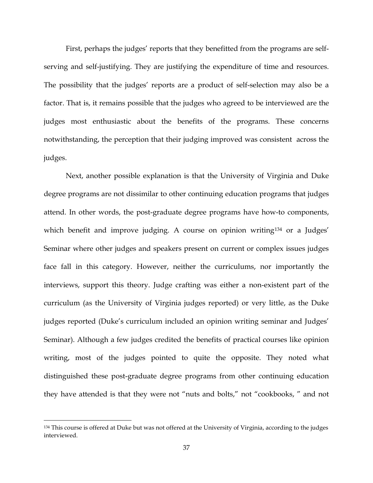First, perhaps the judges' reports that they benefitted from the programs are selfserving and self-justifying. They are justifying the expenditure of time and resources. The possibility that the judges' reports are a product of self-selection may also be a factor. That is, it remains possible that the judges who agreed to be interviewed are the judges most enthusiastic about the benefits of the programs. These concerns notwithstanding, the perception that their judging improved was consistent across the judges.

Next, another possible explanation is that the University of Virginia and Duke degree programs are not dissimilar to other continuing education programs that judges attend. In other words, the post-graduate degree programs have how-to components, which benefit and improve judging. A course on opinion writing<sup>[134](#page-36-0)</sup> or a Judges' Seminar where other judges and speakers present on current or complex issues judges face fall in this category. However, neither the curriculums, nor importantly the interviews, support this theory. Judge crafting was either a non-existent part of the curriculum (as the University of Virginia judges reported) or very little, as the Duke judges reported (Duke's curriculum included an opinion writing seminar and Judges' Seminar). Although a few judges credited the benefits of practical courses like opinion writing, most of the judges pointed to quite the opposite. They noted what distinguished these post-graduate degree programs from other continuing education they have attended is that they were not "nuts and bolts," not "cookbooks, " and not

<span id="page-36-0"></span> <sup>134</sup> This course is offered at Duke but was not offered at the University of Virginia, according to the judges interviewed.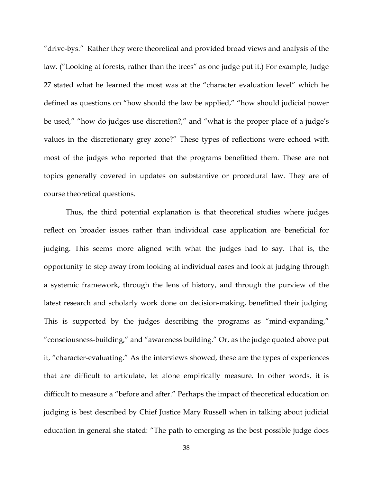"drive-bys." Rather they were theoretical and provided broad views and analysis of the law. ("Looking at forests, rather than the trees" as one judge put it.) For example, Judge 27 stated what he learned the most was at the "character evaluation level" which he defined as questions on "how should the law be applied," "how should judicial power be used," "how do judges use discretion?," and "what is the proper place of a judge's values in the discretionary grey zone?" These types of reflections were echoed with most of the judges who reported that the programs benefitted them. These are not topics generally covered in updates on substantive or procedural law. They are of course theoretical questions.

Thus, the third potential explanation is that theoretical studies where judges reflect on broader issues rather than individual case application are beneficial for judging. This seems more aligned with what the judges had to say. That is, the opportunity to step away from looking at individual cases and look at judging through a systemic framework, through the lens of history, and through the purview of the latest research and scholarly work done on decision-making, benefitted their judging. This is supported by the judges describing the programs as "mind-expanding," "consciousness-building," and "awareness building." Or, as the judge quoted above put it, "character-evaluating." As the interviews showed, these are the types of experiences that are difficult to articulate, let alone empirically measure. In other words, it is difficult to measure a "before and after." Perhaps the impact of theoretical education on judging is best described by Chief Justice Mary Russell when in talking about judicial education in general she stated: "The path to emerging as the best possible judge does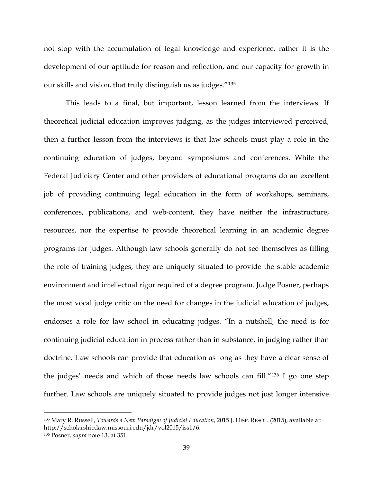not stop with the accumulation of legal knowledge and experience, rather it is the development of our aptitude for reason and reflection, and our capacity for growth in our skills and vision, that truly distinguish us as judges."[135](#page-38-0)

This leads to a final, but important, lesson learned from the interviews. If theoretical judicial education improves judging, as the judges interviewed perceived, then a further lesson from the interviews is that law schools must play a role in the continuing education of judges, beyond symposiums and conferences. While the Federal Judiciary Center and other providers of educational programs do an excellent job of providing continuing legal education in the form of workshops, seminars, conferences, publications, and web-content, they have neither the infrastructure, resources, nor the expertise to provide theoretical learning in an academic degree programs for judges. Although law schools generally do not see themselves as filling the role of training judges, they are uniquely situated to provide the stable academic environment and intellectual rigor required of a degree program. Judge Posner, perhaps the most vocal judge critic on the need for changes in the judicial education of judges, endorses a role for law school in educating judges. "In a nutshell, the need is for continuing judicial education in process rather than in substance, in judging rather than doctrine. Law schools can provide that education as long as they have a clear sense of the judges' needs and which of those needs law schools can fill."[136](#page-38-1) I go one step further. Law schools are uniquely situated to provide judges not just longer intensive

<span id="page-38-0"></span> <sup>135</sup> Mary R. Russell, *Towards a New Paradigm of Judicial Education*, 2015 J. DISP. RESOL. (2015), available at: http://scholarship.law.missouri.edu/jdr/vol2015/iss1/6.

<span id="page-38-1"></span><sup>136</sup> Posner, *supra* note 13, at 351.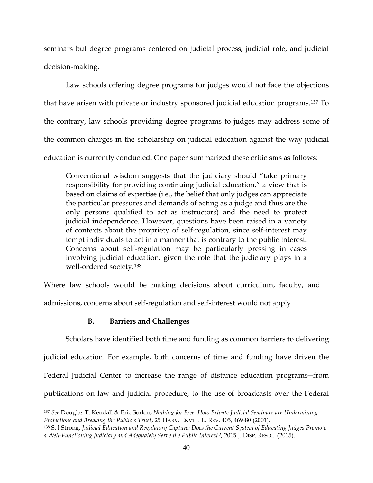seminars but degree programs centered on judicial process, judicial role, and judicial decision-making.

Law schools offering degree programs for judges would not face the objections that have arisen with private or industry sponsored judicial education programs.[137](#page-39-0) To the contrary, law schools providing degree programs to judges may address some of the common charges in the scholarship on judicial education against the way judicial education is currently conducted. One paper summarized these criticisms as follows:

Conventional wisdom suggests that the judiciary should "take primary responsibility for providing continuing judicial education," a view that is based on claims of expertise (i.e., the belief that only judges can appreciate the particular pressures and demands of acting as a judge and thus are the only persons qualified to act as instructors) and the need to protect judicial independence. However, questions have been raised in a variety of contexts about the propriety of self-regulation, since self-interest may tempt individuals to act in a manner that is contrary to the public interest. Concerns about self-regulation may be particularly pressing in cases involving judicial education, given the role that the judiciary plays in a well-ordered society.[138](#page-39-1)

Where law schools would be making decisions about curriculum, faculty, and admissions, concerns about self-regulation and self-interest would not apply.

## **B. Barriers and Challenges**

Scholars have identified both time and funding as common barriers to delivering judicial education. For example, both concerns of time and funding have driven the Federal Judicial Center to increase the range of distance education programs―from publications on law and judicial procedure, to the use of broadcasts over the Federal

<span id="page-39-0"></span> <sup>137</sup> *See* Douglas T. Kendall & Eric Sorkin, *Nothing for Free: How Private Judicial Seminars are Undermining Protections and Breaking the Public's Trust*, 25 HARV. ENVTL. L. REV. 405, 469-80 (2001).

<span id="page-39-1"></span><sup>138</sup> S. I Strong, *Judicial Education and Regulatory Capture: Does the Current System of Educating Judges Promote a Well-Functioning Judiciary and Adequately Serve the Public Interest?,* 2015 J. DISP. RESOL. (2015).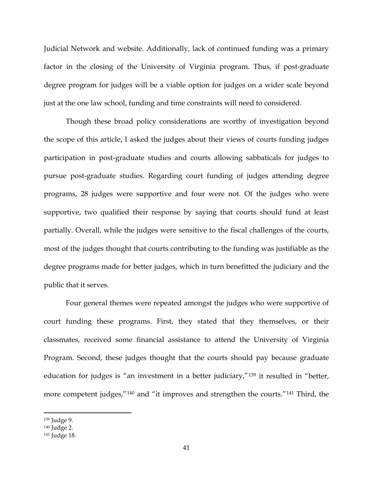Judicial Network and website. Additionally, lack of continued funding was a primary factor in the closing of the University of Virginia program. Thus, if post-graduate degree program for judges will be a viable option for judges on a wider scale beyond just at the one law school, funding and time constraints will need to considered.

Though these broad policy considerations are worthy of investigation beyond the scope of this article, I asked the judges about their views of courts funding judges participation in post-graduate studies and courts allowing sabbaticals for judges to pursue post-graduate studies. Regarding court funding of judges attending degree programs, 28 judges were supportive and four were not. Of the judges who were supportive, two qualified their response by saying that courts should fund at least partially. Overall, while the judges were sensitive to the fiscal challenges of the courts, most of the judges thought that courts contributing to the funding was justifiable as the degree programs made for better judges, which in turn benefitted the judiciary and the public that it serves.

Four general themes were repeated amongst the judges who were supportive of court funding these programs. First, they stated that they themselves, or their classmates, received some financial assistance to attend the University of Virginia Program. Second, these judges thought that the courts should pay because graduate education for judges is "an investment in a better judiciary,"<sup>[139](#page-40-0)</sup> it resulted in "better, more competent judges,"<sup>[140](#page-40-1)</sup> and "it improves and strengthen the courts."<sup>[141](#page-40-2)</sup> Third, the

<span id="page-40-0"></span> <sup>139</sup> Judge 9.

<span id="page-40-1"></span><sup>140</sup> Judge 2.

<span id="page-40-2"></span><sup>141</sup> Judge 18.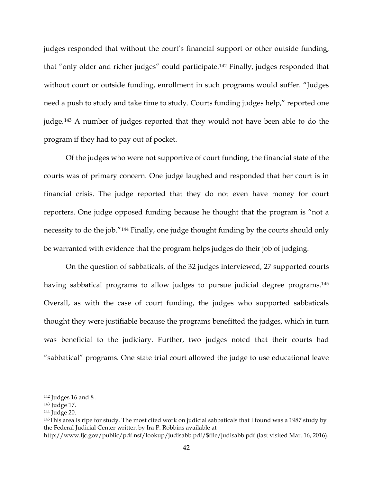judges responded that without the court's financial support or other outside funding, that "only older and richer judges" could participate.[142](#page-41-0) Finally, judges responded that without court or outside funding, enrollment in such programs would suffer. "Judges need a push to study and take time to study. Courts funding judges help," reported one judge.[143](#page-41-1) A number of judges reported that they would not have been able to do the program if they had to pay out of pocket.

Of the judges who were not supportive of court funding, the financial state of the courts was of primary concern. One judge laughed and responded that her court is in financial crisis. The judge reported that they do not even have money for court reporters. One judge opposed funding because he thought that the program is "not a necessity to do the job."[144](#page-41-2) Finally, one judge thought funding by the courts should only be warranted with evidence that the program helps judges do their job of judging.

On the question of sabbaticals, of the 32 judges interviewed, 27 supported courts having sabbatical programs to allow judges to pursue judicial degree programs.<sup>[145](#page-41-3)</sup> Overall, as with the case of court funding, the judges who supported sabbaticals thought they were justifiable because the programs benefitted the judges, which in turn was beneficial to the judiciary. Further, two judges noted that their courts had "sabbatical" programs. One state trial court allowed the judge to use educational leave

<span id="page-41-0"></span> <sup>142</sup> Judges 16 and 8 .

<span id="page-41-1"></span><sup>143</sup> Judge 17.

<span id="page-41-2"></span><sup>144</sup> Judge 20.

<span id="page-41-3"></span><sup>145</sup>This area is ripe for study. The most cited work on judicial sabbaticals that I found was a 1987 study by the Federal Judicial Center written by Ira P. Robbins available at

http://www.fjc.gov/public/pdf.nsf/lookup/judisabb.pdf/\$file/judisabb.pdf (last visited Mar. 16, 2016).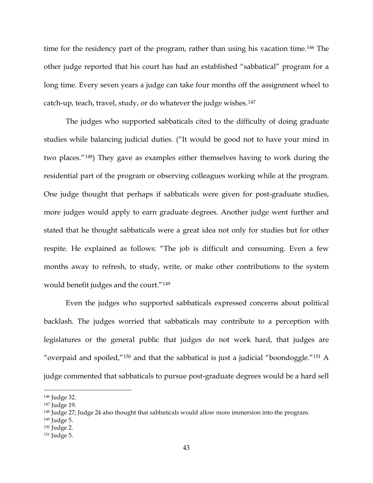time for the residency part of the program, rather than using his vacation time.<sup>[146](#page-42-0)</sup> The other judge reported that his court has had an established "sabbatical" program for a long time. Every seven years a judge can take four months off the assignment wheel to catch-up, teach, travel, study, or do whatever the judge wishes.[147](#page-42-1)

The judges who supported sabbaticals cited to the difficulty of doing graduate studies while balancing judicial duties. ("It would be good not to have your mind in two places."[148\)](#page-42-2) They gave as examples either themselves having to work during the residential part of the program or observing colleagues working while at the program. One judge thought that perhaps if sabbaticals were given for post-graduate studies, more judges would apply to earn graduate degrees. Another judge went further and stated that he thought sabbaticals were a great idea not only for studies but for other respite. He explained as follows: "The job is difficult and consuming. Even a few months away to refresh, to study, write, or make other contributions to the system would benefit judges and the court."[149](#page-42-3)

Even the judges who supported sabbaticals expressed concerns about political backlash. The judges worried that sabbaticals may contribute to a perception with legislatures or the general public that judges do not work hard, that judges are "overpaid and spoiled,"[150](#page-42-4) and that the sabbatical is just a judicial "boondoggle.["151](#page-42-5) A judge commented that sabbaticals to pursue post-graduate degrees would be a hard sell

<span id="page-42-1"></span><span id="page-42-0"></span> <sup>146</sup> Judge 32.

<sup>147</sup> Judge 19.

<span id="page-42-2"></span><sup>&</sup>lt;sup>148</sup> Judge 27; Judge 24 also thought that sabbaticals would allow more immersion into the program.

<span id="page-42-3"></span><sup>149</sup> Judge 5.

<span id="page-42-4"></span><sup>150</sup> Judge 2.

<span id="page-42-5"></span><sup>151</sup> Judge 5.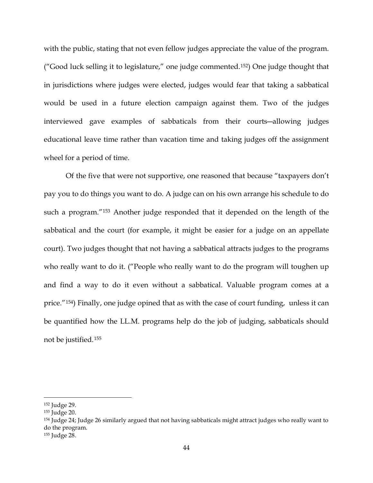with the public, stating that not even fellow judges appreciate the value of the program. ("Good luck selling it to legislature," one judge commented.[152](#page-43-0)) One judge thought that in jurisdictions where judges were elected, judges would fear that taking a sabbatical would be used in a future election campaign against them. Two of the judges interviewed gave examples of sabbaticals from their courts―allowing judges educational leave time rather than vacation time and taking judges off the assignment wheel for a period of time.

Of the five that were not supportive, one reasoned that because "taxpayers don't pay you to do things you want to do. A judge can on his own arrange his schedule to do such a program."[153](#page-43-1) Another judge responded that it depended on the length of the sabbatical and the court (for example, it might be easier for a judge on an appellate court). Two judges thought that not having a sabbatical attracts judges to the programs who really want to do it. ("People who really want to do the program will toughen up and find a way to do it even without a sabbatical. Valuable program comes at a price."[154](#page-43-2)) Finally, one judge opined that as with the case of court funding, unless it can be quantified how the LL.M. programs help do the job of judging, sabbaticals should not be justified.[155](#page-43-3)

<span id="page-43-0"></span> <sup>152</sup> Judge 29.

<span id="page-43-1"></span><sup>153</sup> Judge 20.

<span id="page-43-2"></span><sup>154</sup> Judge 24; Judge 26 similarly argued that not having sabbaticals might attract judges who really want to do the program.

<span id="page-43-3"></span><sup>155</sup> Judge 28.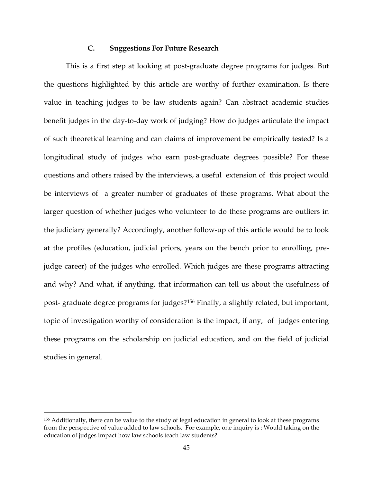## **C. Suggestions For Future Research**

This is a first step at looking at post-graduate degree programs for judges. But the questions highlighted by this article are worthy of further examination. Is there value in teaching judges to be law students again? Can abstract academic studies benefit judges in the day-to-day work of judging? How do judges articulate the impact of such theoretical learning and can claims of improvement be empirically tested? Is a longitudinal study of judges who earn post-graduate degrees possible? For these questions and others raised by the interviews, a useful extension of this project would be interviews of a greater number of graduates of these programs. What about the larger question of whether judges who volunteer to do these programs are outliers in the judiciary generally? Accordingly, another follow-up of this article would be to look at the profiles (education, judicial priors, years on the bench prior to enrolling, prejudge career) of the judges who enrolled. Which judges are these programs attracting and why? And what, if anything, that information can tell us about the usefulness of post- graduate degree programs for judges?[156](#page-44-0) Finally, a slightly related, but important, topic of investigation worthy of consideration is the impact, if any, of judges entering these programs on the scholarship on judicial education, and on the field of judicial studies in general.

<span id="page-44-0"></span> <sup>156</sup> Additionally, there can be value to the study of legal education in general to look at these programs from the perspective of value added to law schools. For example, one inquiry is : Would taking on the education of judges impact how law schools teach law students?